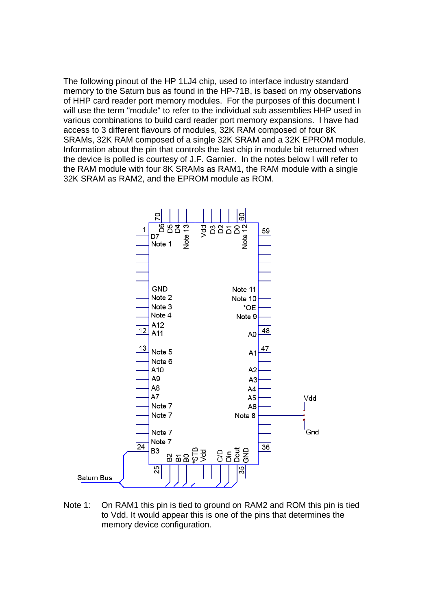The following pinout of the HP 1LJ4 chip, used to interface industry standard memory to the Saturn bus as found in the HP-71B, is based on my observations of HHP card reader port memory modules. For the purposes of this document I will use the term "module" to refer to the individual sub assemblies HHP used in various combinations to build card reader port memory expansions. I have had access to 3 different flavours of modules, 32K RAM composed of four 8K SRAMs, 32K RAM composed of a single 32K SRAM and a 32K EPROM module. Information about the pin that controls the last chip in module bit returned when the device is polled is courtesy of J.F. Garnier. In the notes below I will refer to the RAM module with four 8K SRAMs as RAM1, the RAM module with a single 32K SRAM as RAM2, and the EPROM module as ROM.



Note 1: On RAM1 this pin is tied to ground on RAM2 and ROM this pin is tied to Vdd. It would appear this is one of the pins that determines the memory device configuration.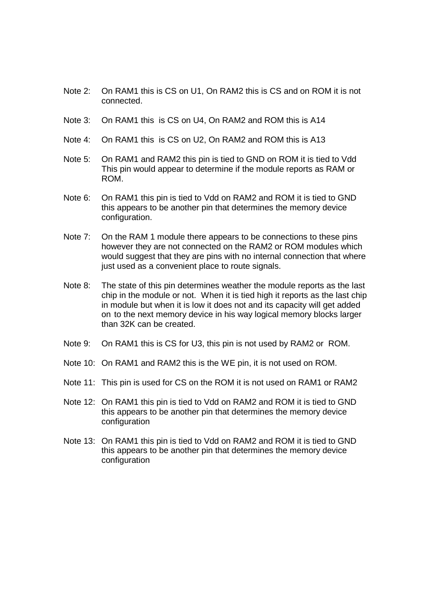- Note 2: On RAM1 this is CS on U1, On RAM2 this is CS and on ROM it is not connected.
- Note 3: On RAM1 this is CS on U4, On RAM2 and ROM this is A14
- Note 4: On RAM1 this is CS on U2, On RAM2 and ROM this is A13
- Note 5: On RAM1 and RAM2 this pin is tied to GND on ROM it is tied to Vdd This pin would appear to determine if the module reports as RAM or ROM.
- Note 6: On RAM1 this pin is tied to Vdd on RAM2 and ROM it is tied to GND this appears to be another pin that determines the memory device configuration.
- Note 7: On the RAM 1 module there appears to be connections to these pins however they are not connected on the RAM2 or ROM modules which would suggest that they are pins with no internal connection that where just used as a convenient place to route signals.
- Note 8: The state of this pin determines weather the module reports as the last chip in the module or not. When it is tied high it reports as the last chip in module but when it is low it does not and its capacity will get added on to the next memory device in his way logical memory blocks larger than 32K can be created.
- Note 9: On RAM1 this is CS for U3, this pin is not used by RAM2 or ROM.
- Note 10: On RAM1 and RAM2 this is the WE pin, it is not used on ROM.
- Note 11: This pin is used for CS on the ROM it is not used on RAM1 or RAM2
- Note 12: On RAM1 this pin is tied to Vdd on RAM2 and ROM it is tied to GND this appears to be another pin that determines the memory device configuration
- Note 13: On RAM1 this pin is tied to Vdd on RAM2 and ROM it is tied to GND this appears to be another pin that determines the memory device configuration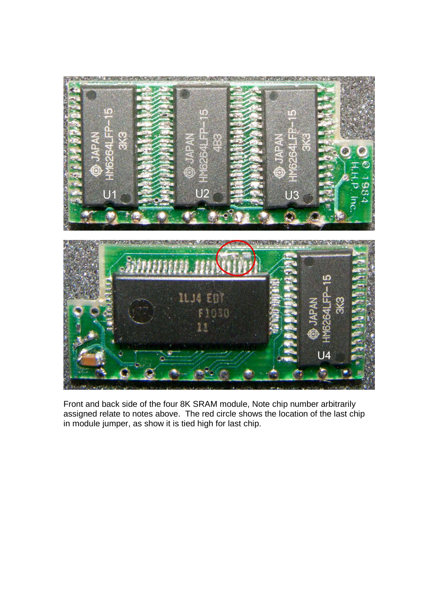

Front and back side of the four 8K SRAM module, Note chip number arbitrarily assigned relate to notes above. The red circle shows the location of the last chip in module jumper, as show it is tied high for last chip.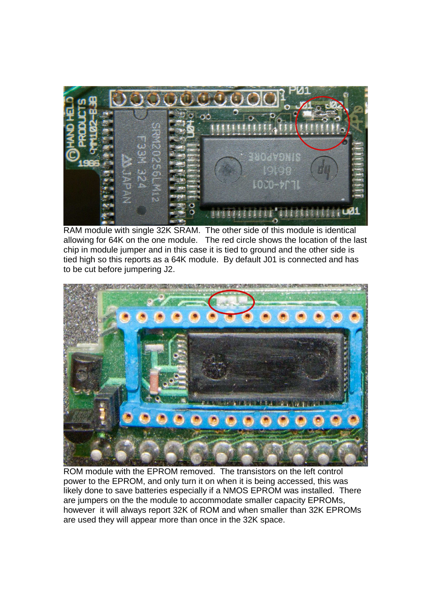

RAM module with single 32K SRAM. The other side of this module is identical allowing for 64K on the one module. The red circle shows the location of the last chip in module jumper and in this case it is tied to ground and the other side is tied high so this reports as a 64K module. By default J01 is connected and has to be cut before jumpering J2.



ROM module with the EPROM removed. The transistors on the left control power to the EPROM, and only turn it on when it is being accessed, this was likely done to save batteries especially if a NMOS EPROM was installed. There are jumpers on the the module to accommodate smaller capacity EPROMs, however it will always report 32K of ROM and when smaller than 32K EPROMs are used they will appear more than once in the 32K space.